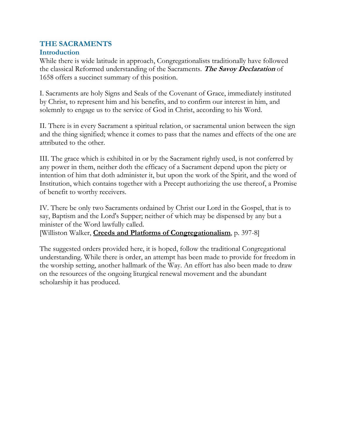## **THE SACRAMENTS**

## **Introduction**

While there is wide latitude in approach, Congregationalists traditionally have followed the classical Reformed understanding of the Sacraments. **The Savoy Declaration** of 1658 offers a succinct summary of this position.

I. Sacraments are holy Signs and Seals of the Covenant of Grace, immediately instituted by Christ, to represent him and his benefits, and to confirm our interest in him, and solemnly to engage us to the service of God in Christ, according to his Word.

II. There is in every Sacrament a spiritual relation, or sacramental union between the sign and the thing signified; whence it comes to pass that the names and effects of the one are attributed to the other.

III. The grace which is exhibited in or by the Sacrament rightly used, is not conferred by any power in them, neither doth the efficacy of a Sacrament depend upon the piety or intention of him that doth administer it, but upon the work of the Spirit, and the word of Institution, which contains together with a Precept authorizing the use thereof, a Promise of benefit to worthy receivers.

IV. There be only two Sacraments ordained by Christ our Lord in the Gospel, that is to say, Baptism and the Lord's Supper; neither of which may be dispensed by any but a minister of the Word lawfully called.

[Williston Walker, **Creeds and Platforms of Congregationalism**, p. 397-8]

The suggested orders provided here, it is hoped, follow the traditional Congregational understanding. While there is order, an attempt has been made to provide for freedom in the worship setting, another hallmark of the Way. An effort has also been made to draw on the resources of the ongoing liturgical renewal movement and the abundant scholarship it has produced.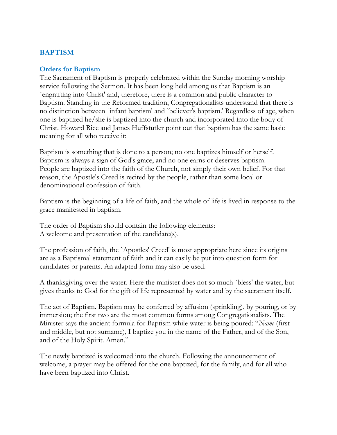# **BAPTISM**

#### **Orders for Baptism**

The Sacrament of Baptism is properly celebrated within the Sunday morning worship service following the Sermon. It has been long held among us that Baptism is an `engrafting into Christ' and, therefore, there is a common and public character to Baptism. Standing in the Reformed tradition, Congregationalists understand that there is no distinction between `infant baptism' and `believer's baptism.' Regardless of age, when one is baptized he/she is baptized into the church and incorporated into the body of Christ. Howard Rice and James Huffstutler point out that baptism has the same basic meaning for all who receive it:

Baptism is something that is done to a person; no one baptizes himself or herself. Baptism is always a sign of God's grace, and no one earns or deserves baptism. People are baptized into the faith of the Church, not simply their own belief. For that reason, the Apostle's Creed is recited by the people, rather than some local or denominational confession of faith.

Baptism is the beginning of a life of faith, and the whole of life is lived in response to the grace manifested in baptism.

The order of Baptism should contain the following elements: A welcome and presentation of the candidate(s).

The profession of faith, the `Apostles' Creed' is most appropriate here since its origins are as a Baptismal statement of faith and it can easily be put into question form for candidates or parents. An adapted form may also be used.

A thanksgiving over the water. Here the minister does not so much `bless' the water, but gives thanks to God for the gift of life represented by water and by the sacrament itself.

The act of Baptism. Baptism may be conferred by affusion (sprinkling), by pouring, or by immersion; the first two are the most common forms among Congregationalists. The Minister says the ancient formula for Baptism while water is being poured: "*Name* (first and middle, but not surname), I baptize you in the name of the Father, and of the Son, and of the Holy Spirit. Amen."

The newly baptized is welcomed into the church. Following the announcement of welcome, a prayer may be offered for the one baptized, for the family, and for all who have been baptized into Christ.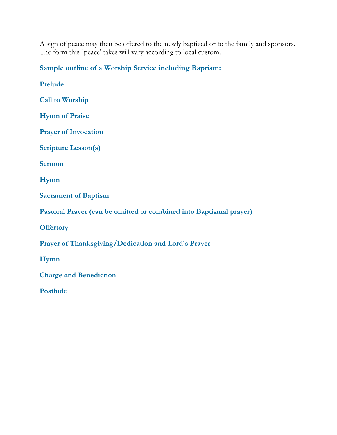A sign of peace may then be offered to the newly baptized or to the family and sponsors. The form this `peace' takes will vary according to local custom.

**Sample outline of a Worship Service including Baptism:**

**Prelude Call to Worship Hymn of Praise Prayer of Invocation Scripture Lesson(s) Sermon Hymn Sacrament of Baptism Pastoral Prayer (can be omitted or combined into Baptismal prayer) Offertory Prayer of Thanksgiving/Dedication and Lord's Prayer Hymn Charge and Benediction Postlude**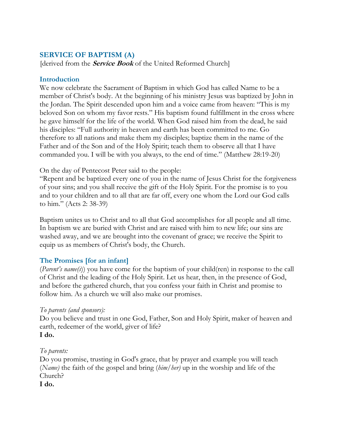## **SERVICE OF BAPTISM (A)**

[derived from the **Service Book** of the United Reformed Church]

#### **Introduction**

We now celebrate the Sacrament of Baptism in which God has called Name to be a member of Christ's body. At the beginning of his ministry Jesus was baptized by John in the Jordan. The Spirit descended upon him and a voice came from heaven: "This is my beloved Son on whom my favor rests." His baptism found fulfillment in the cross where he gave himself for the life of the world. When God raised him from the dead, he said his disciples: "Full authority in heaven and earth has been committed to me. Go therefore to all nations and make them my disciples; baptize them in the name of the Father and of the Son and of the Holy Spirit; teach them to observe all that I have commanded you. I will be with you always, to the end of time." (Matthew 28:19-20)

On the day of Pentecost Peter said to the people:

"Repent and be baptized every one of you in the name of Jesus Christ for the forgiveness of your sins; and you shall receive the gift of the Holy Spirit. For the promise is to you and to your children and to all that are far off, every one whom the Lord our God calls to him." (Acts 2: 38-39)

Baptism unites us to Christ and to all that God accomplishes for all people and all time. In baptism we are buried with Christ and are raised with him to new life; our sins are washed away, and we are brought into the covenant of grace; we receive the Spirit to equip us as members of Christ's body, the Church.

## **The Promises [for an infant]**

(*Parent's name(s*)) you have come for the baptism of your child(ren) in response to the call of Christ and the leading of the Holy Spirit. Let us hear, then, in the presence of God, and before the gathered church, that you confess your faith in Christ and promise to follow him. As a church we will also make our promises.

## *To parents (and sponsors):*

Do you believe and trust in one God, Father, Son and Holy Spirit, maker of heaven and earth, redeemer of the world, giver of life? **I do.**

## *To parents:*

Do you promise, trusting in God's grace, that by prayer and example you will teach (*Name)* the faith of the gospel and bring (*him/her)* up in the worship and life of the Church?

**I do.**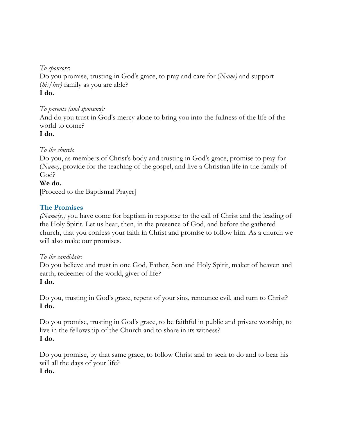*To sponsors*:

Do you promise, trusting in God's grace, to pray and care for (*Name)* and support (*his/her)* family as you are able? **I do.**

# *To parents (and sponsors):*

And do you trust in God's mercy alone to bring you into the fullness of the life of the world to come?

**I do.**

# *To the church*:

Do you, as members of Christ's body and trusting in God's grace, promise to pray for (*Name)*, provide for the teaching of the gospel, and live a Christian life in the family of God?

## **We do.**

[Proceed to the Baptismal Prayer]

# **The Promises**

*(Name(s))* you have come for baptism in response to the call of Christ and the leading of the Holy Spirit. Let us hear, then, in the presence of God, and before the gathered church, that you confess your faith in Christ and promise to follow him. As a church we will also make our promises.

## *To the candidate*:

Do you believe and trust in one God, Father, Son and Holy Spirit, maker of heaven and earth, redeemer of the world, giver of life? **I do.**

Do you, trusting in God's grace, repent of your sins, renounce evil, and turn to Christ? **I do.**

Do you promise, trusting in God's grace, to be faithful in public and private worship, to live in the fellowship of the Church and to share in its witness? **I do.**

Do you promise, by that same grace, to follow Christ and to seek to do and to bear his will all the days of your life?

# **I do.**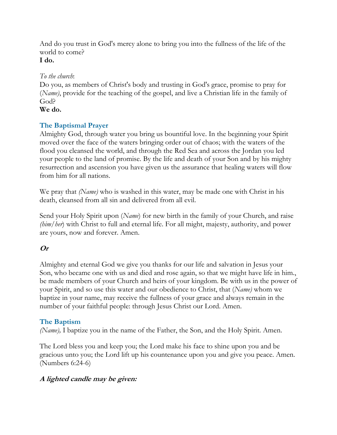And do you trust in God's mercy alone to bring you into the fullness of the life of the world to come? **I do.**

#### *To the church*:

Do you, as members of Christ's body and trusting in God's grace, promise to pray for (*Name)*, provide for the teaching of the gospel, and live a Christian life in the family of God?

**We do.**

# **The Baptismal Prayer**

Almighty God, through water you bring us bountiful love. In the beginning your Spirit moved over the face of the waters bringing order out of chaos; with the waters of the flood you cleansed the world, and through the Red Sea and across the Jordan you led your people to the land of promise. By the life and death of your Son and by his mighty resurrection and ascension you have given us the assurance that healing waters will flow from him for all nations.

We pray that *(Name)* who is washed in this water, may be made one with Christ in his death, cleansed from all sin and delivered from all evil.

Send your Holy Spirit upon (*Name*) for new birth in the family of your Church, and raise *(him/her*) with Christ to full and eternal life. For all might, majesty, authority, and power are yours, now and forever. Amen.

# **Or**

Almighty and eternal God we give you thanks for our life and salvation in Jesus your Son, who became one with us and died and rose again, so that we might have life in him., be made members of your Church and heirs of your kingdom. Be with us in the power of your Spirit, and so use this water and our obedience to Christ, that (*Name)* whom we baptize in your name, may receive the fullness of your grace and always remain in the number of your faithful people: through Jesus Christ our Lord. Amen.

## **The Baptism**

*(Name),* I baptize you in the name of the Father, the Son, and the Holy Spirit. Amen.

The Lord bless you and keep you; the Lord make his face to shine upon you and be gracious unto you; the Lord lift up his countenance upon you and give you peace. Amen. (Numbers 6:24-6)

# **A lighted candle may be given:**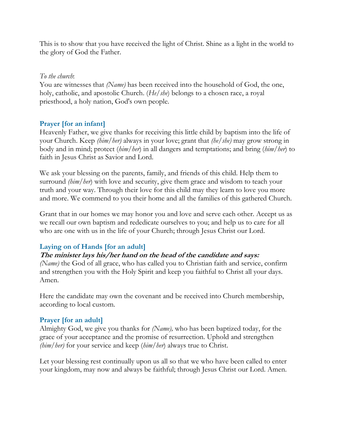This is to show that you have received the light of Christ. Shine as a light in the world to the glory of God the Father.

#### *To the church*:

You are witnesses that *(Name)* has been received into the household of God, the one, holy, catholic, and apostolic Church. (*He/she*) belongs to a chosen race, a royal priesthood, a holy nation, God's own people.

# **Prayer [for an infant]**

Heavenly Father, we give thanks for receiving this little child by baptism into the life of your Church. Keep *(him/her)* always in your love; grant that *(he/she)* may grow strong in body and in mind; protect (*him/her*) in all dangers and temptations; and bring (*him/her*) to faith in Jesus Christ as Savior and Lord.

We ask your blessing on the parents, family, and friends of this child. Help them to surround *(him/her*) with love and security, give them grace and wisdom to teach your truth and your way. Through their love for this child may they learn to love you more and more. We commend to you their home and all the families of this gathered Church.

Grant that in our homes we may honor you and love and serve each other. Accept us as we recall our own baptism and rededicate ourselves to you; and help us to care for all who are one with us in the life of your Church; through Jesus Christ our Lord.

# **Laying on of Hands [for an adult]**

## **The minister lays his/her hand on the head of the candidate and says:**

*(Name)* the God of all grace, who has called you to Christian faith and service, confirm and strengthen you with the Holy Spirit and keep you faithful to Christ all your days. Amen.

Here the candidate may own the covenant and be received into Church membership, according to local custom.

# **Prayer [for an adult]**

Almighty God, we give you thanks for *(Name),* who has been baptized today, for the grace of your acceptance and the promise of resurrection. Uphold and strengthen *(him/her)* for your service and keep (*him/her*) always true to Christ.

Let your blessing rest continually upon us all so that we who have been called to enter your kingdom, may now and always be faithful; through Jesus Christ our Lord. Amen.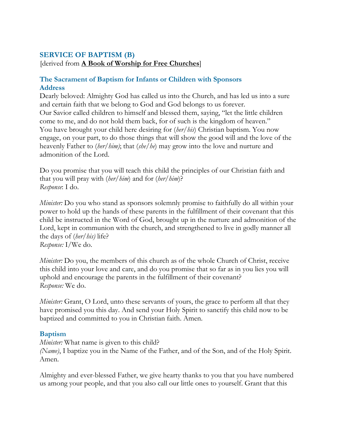#### **SERVICE OF BAPTISM (B)**

[derived from **A Book of Worship for Free Churches**]

#### **The Sacrament of Baptism for Infants or Children with Sponsors Address**

Dearly beloved: Almighty God has called us into the Church, and has led us into a sure and certain faith that we belong to God and God belongs to us forever. Our Savior called children to himself and blessed them, saying, "let the little children come to me, and do not hold them back, for of such is the kingdom of heaven." You have brought your child here desiring for (*her/his*) Christian baptism. You now engage, on your part, to do those things that will show the good will and the love of the heavenly Father to (*her/him)*; that (*she/he*) may grow into the love and nurture and admonition of the Lord.

Do you promise that you will teach this child the principles of our Christian faith and that you will pray with (*her/him*) and for (*her/him*)? *Response*: I do.

*Minister:* Do you who stand as sponsors solemnly promise to faithfully do all within your power to hold up the hands of these parents in the fulfillment of their covenant that this child be instructed in the Word of God, brought up in the nurture and admonition of the Lord, kept in communion with the church, and strengthened to live in godly manner all the days of (*her/his)* life? *Response:* I/We do.

*Minister:* Do you, the members of this church as of the whole Church of Christ, receive this child into your love and care, and do you promise that so far as in you lies you will uphold and encourage the parents in the fulfillment of their covenant? *Response:* We do.

*Minister:* Grant, O Lord, unto these servants of yours, the grace to perform all that they have promised you this day. And send your Holy Spirit to sanctify this child now to be baptized and committed to you in Christian faith. Amen.

#### **Baptism**

*Minister:* What name is given to this child?

*(Name)*, I baptize you in the Name of the Father, and of the Son, and of the Holy Spirit. Amen.

Almighty and ever-blessed Father, we give hearty thanks to you that you have numbered us among your people, and that you also call our little ones to yourself. Grant that this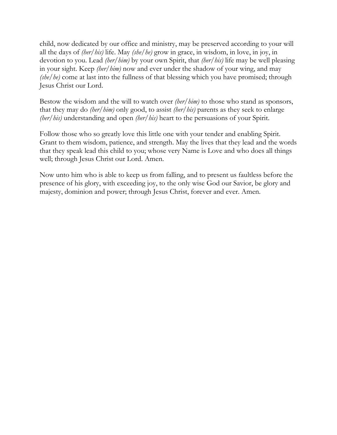child, now dedicated by our office and ministry, may be preserved according to your will all the days of *(her/his)* life. May *(she/he)* grow in grace, in wisdom, in love, in joy, in devotion to you. Lead *(her/him)* by your own Spirit, that *(her/his)* life may be well pleasing in your sight. Keep *(her/him)* now and ever under the shadow of your wing, and may *(she/he)* come at last into the fullness of that blessing which you have promised; through Jesus Christ our Lord.

Bestow the wisdom and the will to watch over *(her/him)* to those who stand as sponsors, that they may do *(her/him)* only good, to assist *(her/his)* parents as they seek to enlarge *(her/his)* understanding and open *(her/his)* heart to the persuasions of your Spirit.

Follow those who so greatly love this little one with your tender and enabling Spirit. Grant to them wisdom, patience, and strength. May the lives that they lead and the words that they speak lead this child to you; whose very Name is Love and who does all things well; through Jesus Christ our Lord. Amen.

Now unto him who is able to keep us from falling, and to present us faultless before the presence of his glory, with exceeding joy, to the only wise God our Savior, be glory and majesty, dominion and power; through Jesus Christ, forever and ever. Amen.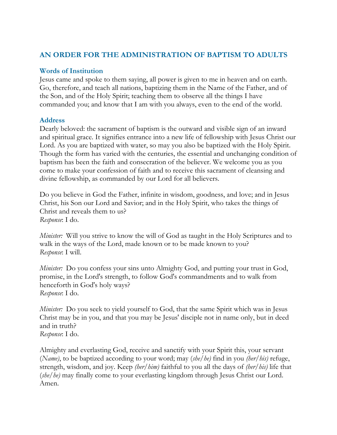# **AN ORDER FOR THE ADMINISTRATION OF BAPTISM TO ADULTS**

#### **Words of Institution**

Jesus came and spoke to them saying, all power is given to me in heaven and on earth. Go, therefore, and teach all nations, baptizing them in the Name of the Father, and of the Son, and of the Holy Spirit; teaching them to observe all the things I have commanded you; and know that I am with you always, even to the end of the world.

#### **Address**

Dearly beloved: the sacrament of baptism is the outward and visible sign of an inward and spiritual grace. It signifies entrance into a new life of fellowship with Jesus Christ our Lord. As you are baptized with water, so may you also be baptized with the Holy Spirit. Though the form has varied with the centuries, the essential and unchanging condition of baptism has been the faith and consecration of the believer. We welcome you as you come to make your confession of faith and to receive this sacrament of cleansing and divine fellowship, as commanded by our Lord for all believers.

Do you believe in God the Father, infinite in wisdom, goodness, and love; and in Jesus Christ, his Son our Lord and Savior; and in the Holy Spirit, who takes the things of Christ and reveals them to us? *Response*: I do.

*Minister:* Will you strive to know the will of God as taught in the Holy Scriptures and to walk in the ways of the Lord, made known or to be made known to you? *Response*: I will.

*Minister:* Do you confess your sins unto Almighty God, and putting your trust in God, promise, in the Lord's strength, to follow God's commandments and to walk from henceforth in God's holy ways? *Response*: I do.

*Minister*: Do you seek to yield yourself to God, that the same Spirit which was in Jesus Christ may be in you, and that you may be Jesus' disciple not in name only, but in deed and in truth? *Response*: I do.

Almighty and everlasting God, receive and sanctify with your Spirit this, your servant (*Name)*, to be baptized according to your word; may (*she/he)* find in you *(her/his)* refuge, strength, wisdom, and joy. Keep *(her/him)* faithful to you all the days of *(her/his)* life that (*she/he)* may finally come to your everlasting kingdom through Jesus Christ our Lord. Amen.